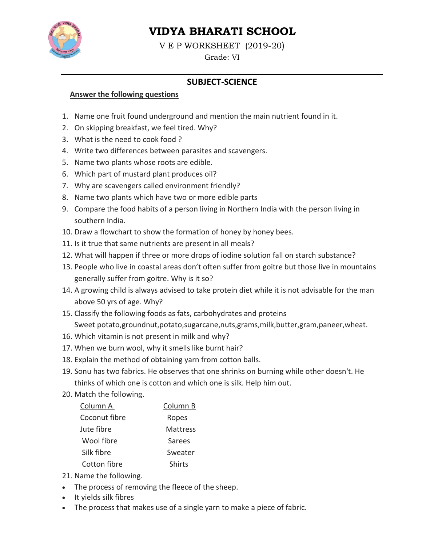

# **VIDYA BHARATI SCHOOL**

V E P WORKSHEET (2019-20)

Grade: VI

## **SUBJECT-SCIENCE**

#### **Answer the following questions**

- 1. Name one fruit found underground and mention the main nutrient found in it.
- 2. On skipping breakfast, we feel tired. Why?
- 3. What is the need to cook food?
- 4. Write two differences between parasites and scavengers.
- 5. Name two plants whose roots are edible.
- 6. Which part of mustard plant produces oil?
- 7. Why are scavengers called environment friendly?
- 8. Name two plants which have two or more edible parts
- 9. Compare the food habits of a person living in Northern India with the person living in southern India.
- 10. Draw a flowchart to show the formation of honey by honey bees.
- 11. Is it true that same nutrients are present in all meals?
- 12. What will happen if three or more drops of iodine solution fall on starch substance?
- 13. People who live in coastal areas don't often suffer from goitre but those live in mountains generally suffer from goitre. Why is it so?
- 14. A growing child is always advised to take protein diet while it is not advisable for the man above 50 yrs of age. Why?
- 15. Classify the following foods as fats, carbohydrates and proteins Sweet potato, groundnut, potato, sugarcane, nuts, grams, milk, butter, gram, paneer, wheat.
- 16. Which vitamin is not present in milk and why?
- 17. When we burn wool, why it smells like burnt hair?
- 18. Explain the method of obtaining yarn from cotton balls.
- 19. Sonu has two fabrics. He observes that one shrinks on burning while other doesn't. He thinks of which one is cotton and which one is silk. Help him out.
- 20. Match the following.

| Column B |
|----------|
| Ropes    |
| Mattress |
| Sarees   |
| Sweater  |
| Shirts   |
|          |

- 21. Name the following.
- The process of removing the fleece of the sheep.
- It yields silk fibres
- The process that makes use of a single yarn to make a piece of fabric.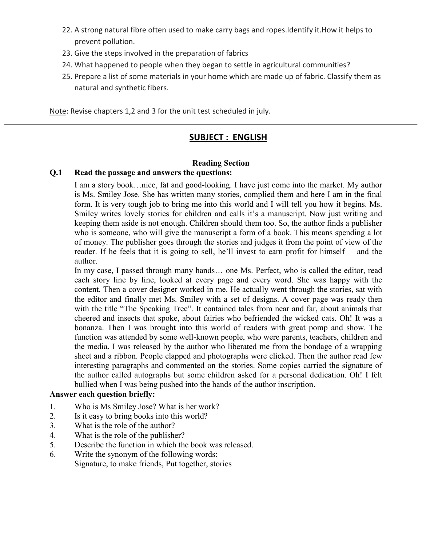- 22. A strong natural fibre often used to make carry bags and ropes. Identify it. How it helps to prevent pollution.
- 23. Give the steps involved in the preparation of fabrics
- 24. What happened to people when they began to settle in agricultural communities?
- 25. Prepare a list of some materials in your home which are made up of fabric. Classify them as natural and synthetic fibers.

Note: Revise chapters 1,2 and 3 for the unit test scheduled in july.

## **SUBJECT: ENGLISH**

#### **Reading Section**

#### $Q.1$ Read the passage and answers the questions:

I am a story book...nice, fat and good-looking. I have just come into the market. My author is Ms. Smiley Jose. She has written many stories, complied them and here I am in the final form. It is very tough job to bring me into this world and I will tell you how it begins. Ms. Smiley writes lovely stories for children and calls it's a manuscript. Now just writing and keeping them aside is not enough. Children should them too. So, the author finds a publisher who is someone, who will give the manuscript a form of a book. This means spending a lot of money. The publisher goes through the stories and judges it from the point of view of the reader. If he feels that it is going to sell, he'll invest to earn profit for himself and the author.

In my case, I passed through many hands... one Ms. Perfect, who is called the editor, read each story line by line, looked at every page and every word. She was happy with the content. Then a cover designer worked in me. He actually went through the stories, sat with the editor and finally met Ms. Smiley with a set of designs. A cover page was ready then with the title "The Speaking Tree". It contained tales from near and far, about animals that cheered and insects that spoke, about fairies who befriended the wicked cats. Oh! It was a bonanza. Then I was brought into this world of readers with great pomp and show. The function was attended by some well-known people, who were parents, teachers, children and the media. I was released by the author who liberated me from the bondage of a wrapping sheet and a ribbon. People clapped and photographs were clicked. Then the author read few interesting paragraphs and commented on the stories. Some copies carried the signature of the author called autographs but some children asked for a personal dedication. Oh! I felt bullied when I was being pushed into the hands of the author inscription.

#### **Answer each question briefly:**

- Who is Ms Smiley Jose? What is her work?  $1<sub>1</sub>$
- $2.$ Is it easy to bring books into this world?
- What is the role of the author?  $3<sub>1</sub>$
- What is the role of the publisher?  $\overline{4}$ .
- Describe the function in which the book was released. 5.
- Write the synonym of the following words: 6. Signature, to make friends, Put together, stories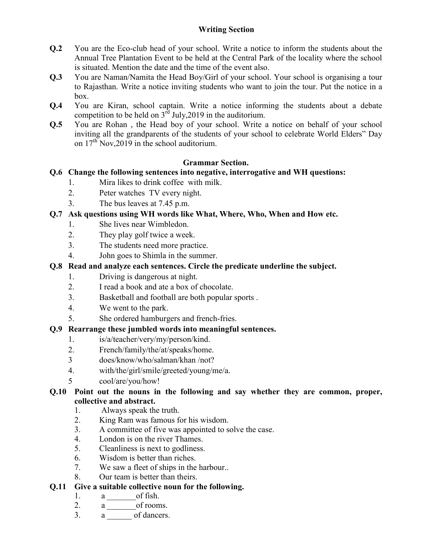### **Writing Section**

- $Q<sub>0</sub>$ You are the Eco-club head of your school. Write a notice to inform the students about the Annual Tree Plantation Event to be held at the Central Park of the locality where the school is situated. Mention the date and the time of the event also.
- You are Naman/Namita the Head Boy/Girl of your school. Your school is organising a tour  $Q<sub>.3</sub>$ to Rajasthan. Write a notice inviting students who want to join the tour. Put the notice in a  $box$
- You are Kiran, school captain. Write a notice informing the students about a debate  $Q.4$ competition to be held on  $3^{\text{rd}}$  July, 2019 in the auditorium.
- You are Rohan, the Head boy of your school. Write a notice on behalf of your school  $Q.5$ inviting all the grandparents of the students of your school to celebrate World Elders" Day on  $17<sup>th</sup>$  Nov, 2019 in the school auditorium.

#### **Grammar Section.**

### **O.6** Change the following sentences into negative, interrogative and WH questions:

- Mira likes to drink coffee with milk.  $1<sub>1</sub>$
- $2<sup>1</sup>$ Peter watches TV every night.
- 3. The bus leaves at 7.45 p.m.

### Q.7 Ask questions using WH words like What, Where, Who, When and How etc.

- She lives near Wimbledon.  $1.$
- $2<sub>1</sub>$ They play golf twice a week.
- $3<sub>1</sub>$ The students need more practice.
- $\overline{4}$ John goes to Shimla in the summer.

## Q.8 Read and analyze each sentences. Circle the predicate underline the subject.

- Driving is dangerous at night.  $1.$
- $2<sup>1</sup>$ I read a book and ate a box of chocolate.
- $3<sub>1</sub>$ Basketball and football are both popular sports.
- $4.$ We went to the park.
- $5<sub>1</sub>$ She ordered hamburgers and french-fries.

### O.9 Rearrange these jumbled words into meaningful sentences.

- $1$ is/a/teacher/very/my/person/kind.
- $2.$ French/family/the/at/speaks/home.
- $\overline{3}$ does/know/who/salman/khan /not?
- $4.$ with/the/girl/smile/greeted/young/me/a.
- $\overline{\mathcal{L}}$ cool/are/you/how!

#### Q.10 Point out the nouns in the following and say whether they are common, proper, collective and abstract.

- $1<sup>1</sup>$ Always speak the truth.
- $2<sup>1</sup>$ King Ram was famous for his wisdom.
- $3<sub>1</sub>$ A committee of five was appointed to solve the case.
- 4. London is on the river Thames.
- 5. Cleanliness is next to godliness.
- 6. Wisdom is better than riches.
- $7<sub>1</sub>$ We saw a fleet of ships in the harbour...
- 8. Our team is better than theirs.

#### 0.11 Give a suitable collective noun for the following.

- a of fish.  $1_{-}$
- a \_\_\_\_\_\_\_\_ of rooms.  $2.$
- $3<sub>1</sub>$ a of dancers.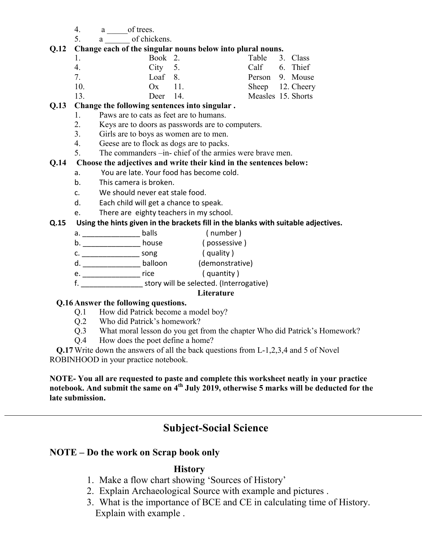- $4_{\cdot}$ a of trees.
- a \_\_\_\_\_\_\_ of chickens.  $5<sub>1</sub>$

#### O.12 Change each of the singular nouns below into plural nouns.

| $\mathbf{1}$ | Book 2.         |  | Table 3. Class     |  |
|--------------|-----------------|--|--------------------|--|
| 4.           | $City \quad 5.$ |  | Calf 6. Thief      |  |
| $\tau$       | Loaf $8$ .      |  | Person 9. Mouse    |  |
| 10.          | $Ox = 11$       |  | Sheep 12. Cheery   |  |
| 13.          | Deer $14$ .     |  | Measles 15. Shorts |  |

#### Q.13 Change the following sentences into singular.

- Paws are to cats as feet are to humans.  $1_{-}$
- $2.$ Keys are to doors as passwords are to computers.
- $3<sub>1</sub>$ Girls are to boys as women are to men.
- $\overline{4}$ Geese are to flock as dogs are to packs.
- $5<sup>1</sup>$ The commanders -in- chief of the armies were brave men.

#### $Q.14$ Choose the adjectives and write their kind in the sentences below:

- You are late. Your food has become cold. a.
- This camera is broken.  $\mathbf{b}$ .
- $c.$ We should never eat stale food.
- Each child will get a chance to speak.  $d_{-}$
- e. There are eighty teachers in my school.

#### Using the hints given in the brackets fill in the blanks with suitable adjectives.  $Q.15$

- (number)
- b. \_\_\_\_\_\_\_\_\_\_\_\_\_\_\_\_\_\_\_\_\_ house
- 
- b.
<br>
b.
<br>
c.
<br>
c.
<br>
song
(quality)<br>
d.
<br>
balloon
(quality)<br>
contrative)<br>
contrative)<br>
contrative (guantity)
- e. \_\_\_\_\_\_\_\_\_\_\_\_\_\_\_\_\_\_\_\_\_\_\_ rice (quantity)
- f. story will be selected. (Interrogative)

#### Literature

#### Q.16 Answer the following questions.

- How did Patrick become a model boy?  $Q.1$
- $Q.2$ Who did Patrick's homework?
- What moral lesson do you get from the chapter Who did Patrick's Homework?  $0.3$
- $O.4$ How does the poet define a home?

Q.17 Write down the answers of all the back questions from L-1,2,3,4 and 5 of Novel ROBINHOOD in your practice notebook.

NOTE-You all are requested to paste and complete this worksheet neatly in your practice notebook. And submit the same on 4<sup>th</sup> July 2019, otherwise 5 marks will be deducted for the late submission.

# **Subject-Social Science**

## NOTE – Do the work on Scrap book only

## **History**

- 1. Make a flow chart showing 'Sources of History'
- 2. Explain Archaeological Source with example and pictures.
- 3. What is the importance of BCE and CE in calculating time of History. Explain with example.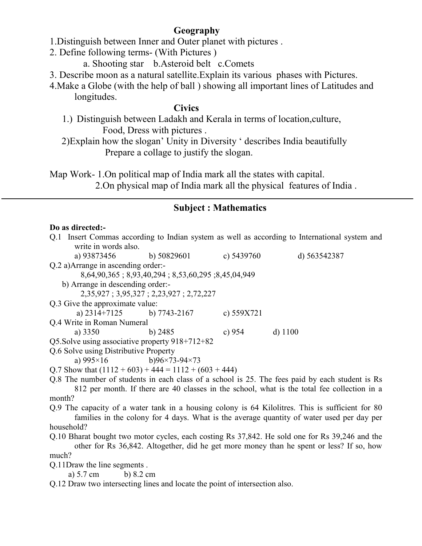## Geography

- 1. Distinguish between Inner and Outer planet with pictures.
- 2. Define following terms- (With Pictures)
	- a. Shooting star b. Asteroid belt c. Comets
- 3. Describe moon as a natural satellite. Explain its various phases with Pictures.
- 4. Make a Globe (with the help of ball) showing all important lines of Latitudes and longitudes.

### **Civics**

- 1.) Distinguish between Ladakh and Kerala in terms of location culture. Food, Dress with pictures.
- 2) Explain how the slogan' Unity in Diversity ' describes India beautifully Prepare a collage to justify the slogan.

Map Work-1.0n political map of India mark all the states with capital.

2. On physical map of India mark all the physical features of India.

## **Subject: Mathematics**

#### Do as directed:-

| Q.1 Insert Commas according to Indian system as well as according to International system and   |                                                     |                                                    |              |              |  |  |
|-------------------------------------------------------------------------------------------------|-----------------------------------------------------|----------------------------------------------------|--------------|--------------|--|--|
|                                                                                                 | write in words also.                                |                                                    |              |              |  |  |
|                                                                                                 | a) 93873456 b) 50829601                             |                                                    | c) $5439760$ | d) 563542387 |  |  |
|                                                                                                 | Q.2 a) Arrange in ascending order:-                 |                                                    |              |              |  |  |
|                                                                                                 |                                                     | 8,64,90,365; 8,93,40,294; 8,53,60,295; 8,45,04,949 |              |              |  |  |
|                                                                                                 | b) Arrange in descending order:-                    |                                                    |              |              |  |  |
|                                                                                                 |                                                     | 2,35,927; 3,95,327; 2,23,927; 2,72,227             |              |              |  |  |
|                                                                                                 | Q.3 Give the approximate value:                     |                                                    |              |              |  |  |
|                                                                                                 | a) $2314+7125$ b) 7743-2167                         |                                                    | c) $559X721$ |              |  |  |
| Q.4 Write in Roman Numeral                                                                      |                                                     |                                                    |              |              |  |  |
|                                                                                                 | a) $3350$                                           | b) $2485$                                          | c) $954$     | $d)$ 1100    |  |  |
|                                                                                                 | Q5. Solve using associative property 918+712+82     |                                                    |              |              |  |  |
| Q.6 Solve using Distributive Property                                                           |                                                     |                                                    |              |              |  |  |
|                                                                                                 | a) $995 \times 16$ b) $96 \times 73 - 94 \times 73$ |                                                    |              |              |  |  |
| Q.7 Show that $(1112 + 603) + 444 = 1112 + (603 + 444)$                                         |                                                     |                                                    |              |              |  |  |
| Q.8 The number of students in each class of a school is 25. The fees paid by each student is Rs |                                                     |                                                    |              |              |  |  |
| 812 per month. If there are 40 classes in the school, what is the total fee collection in a     |                                                     |                                                    |              |              |  |  |
| month?                                                                                          |                                                     |                                                    |              |              |  |  |

Q.9 The capacity of a water tank in a housing colony is 64 Kilolitres. This is sufficient for 80 families in the colony for 4 days. What is the average quantity of water used per day per household?

Q.10 Bharat bought two motor cycles, each costing Rs 37,842. He sold one for Rs 39,246 and the other for Rs 36,842. Altogether, did he get more money than he spent or less? If so, how much?

O.11Draw the line segments.

a)  $5.7 \text{ cm}$ b)  $8.2 \text{ cm}$ 

Q.12 Draw two intersecting lines and locate the point of intersection also.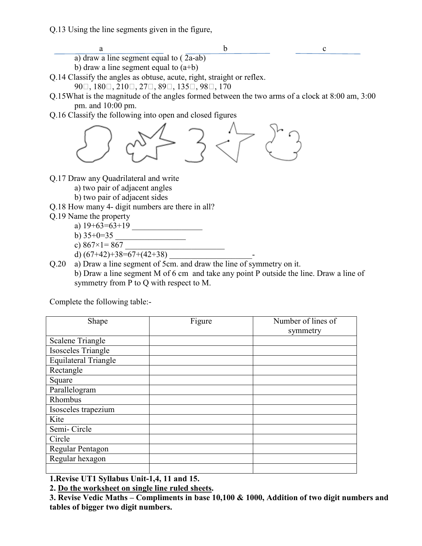Q.13 Using the line segments given in the figure,

a

- $\mathbf b$  $\mathbf{c}$
- a) draw a line segment equal to  $(\overline{2a} ab)$
- b) draw a line segment equal to  $(a+b)$

Q.14 Classify the angles as obtuse, acute, right, straight or reflex.

 $90\Box$ ,  $180\Box$ ,  $210\Box$ ,  $27\Box$ ,  $89\Box$ ,  $135\Box$ ,  $98\Box$ ,  $170$ 

- Q.15What is the magnitude of the angles formed between the two arms of a clock at 8:00 am, 3:00 pm. and 10:00 pm.
- Q.16 Classify the following into open and closed figures



- Q.17 Draw any Quadrilateral and write
	- a) two pair of adjacent angles
	- b) two pair of adjacent sides
- Q.18 How many 4- digit numbers are there in all?
- Q.19 Name the property
	- a)  $19+63=63+19$
	- b)  $35+0=35$
	- c)  $867 \times 1 = 867$
	- d)  $(67+42)+38=67+(42+38)$
- Q.20 a) Draw a line segment of 5cm. and draw the line of symmetry on it. b) Draw a line segment M of 6 cm and take any point P outside the line. Draw a line of symmetry from P to Q with respect to M.

Complete the following table:-

| Shape                       | Figure | Number of lines of |
|-----------------------------|--------|--------------------|
|                             |        | symmetry           |
| Scalene Triangle            |        |                    |
| Isosceles Triangle          |        |                    |
| <b>Equilateral Triangle</b> |        |                    |
| Rectangle                   |        |                    |
| Square                      |        |                    |
| Parallelogram               |        |                    |
| Rhombus                     |        |                    |
| Isosceles trapezium         |        |                    |
| Kite                        |        |                    |
| Semi-Circle                 |        |                    |
| Circle                      |        |                    |
| Regular Pentagon            |        |                    |
| Regular hexagon             |        |                    |
|                             |        |                    |

1. Revise UT1 Syllabus Unit-1,4, 11 and 15.

2. Do the worksheet on single line ruled sheets.

3. Revise Vedic Maths – Compliments in base 10,100  $&$  1000, Addition of two digit numbers and tables of bigger two digit numbers.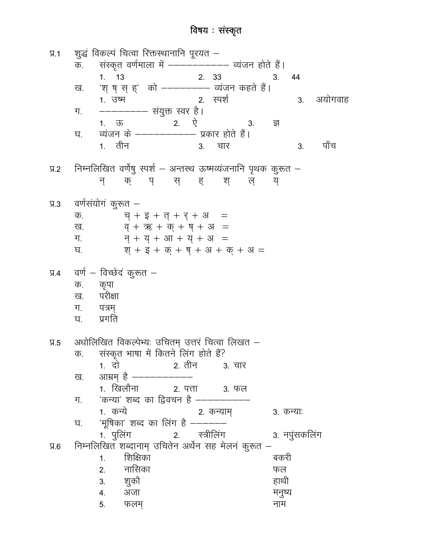## विषय : संस्कृत

शुद्धं विकल्पं चित्वा रिक्तस्थानानि पूरयत –  $\Psi$ .1 संस्कृत वर्णमाला में ------------ व्यंजन होते हैं। क.  $1. 13$ 2. 33  $3.$ 44 'श् ष् स् ह्' को --------- व्यंजन कहते हैं। ख. 2. रपर्श अयोगवाह 1. उष्म  $3<sub>1</sub>$ ग. ্য ਬ <u>1. तीन</u> पाँच  $3.$ चार  $3<sub>l</sub>$ निम्नलिखित वर्णेषु स्पर्श – अन्तस्थ ऊष्मव्यंजनानि पृथक कुरूत –  $9.2$ न् क् पुस् हश् ल्य् वर्णसंयोगं कुरूत –  $9.3$  $\overline{q} + \overline{g} + \overline{q} + \overline{g} + \overline{g}$  = क. ख.  $\overline{q} + \overline{x} + \overline{q} + \overline{q} + \overline{q} =$  $\overline{q} + \overline{q} + 3\overline{n} + \overline{q} + 3\overline{n} =$ ग.  $\overline{q}$  +  $\overline{z}$  +  $\overline{q}$  +  $\overline{q}$  +  $\overline{3}$  +  $\overline{q}$  +  $\overline{3}$  = घ. वर्ण – विच्छेदं कुरूत –  $9.4$ क. कृपा परीक्षा ख. ग. $\blacksquare$ पत्रम प्रगति घ. अधोलिखित विकल्पेभ्यः उचितम् उत्तरं चित्वा लिखत –  $9.5$ संस्कृत भाषा में कितने लिंग होते हैं? क. ख. 3. फल 'कन्या' शब्द का द्विवचन है ---------ग. 2. कन्याम् <u>1. कन्ये</u> 3. कन्याः 'मूषिका' शब्द का लिंग है –––––– घ. 2. स्त्रीलिंग 1. पुलिंग 3. नपुंसकलिंग निम्नलिखित शब्दानाम् उचितेन अर्थेन सह मेलनं कुरूत –  $9.6$ शिक्षिका बकरी  $1.$ नासिका  $2.$ फल हाथी  $4.$ अजा मनुष्य 5. फलम नाम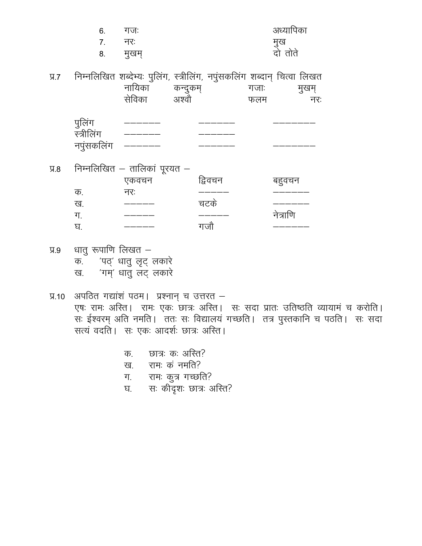|     | 6.                                 | गजः                                                                                                              | अध्यापिका |                |              |  |
|-----|------------------------------------|------------------------------------------------------------------------------------------------------------------|-----------|----------------|--------------|--|
|     | 7.                                 | नरः                                                                                                              |           |                |              |  |
|     | 8.                                 | मुखम्                                                                                                            |           | मुख<br>दो तोते |              |  |
| 9.7 |                                    | निम्नलिखित शब्देभ्यः पुलिंग, स्त्रीलिंग, नपुंसकलिंग शब्दान् चित्वा लिखत<br>नायिका<br>कन्दुकम्<br>सेविका<br>अश्वो |           | गजाः<br>फलम    | मुखम्<br>नरः |  |
|     | पुलिंग<br>स्त्रीलिंग<br>नपुंसकलिंग |                                                                                                                  |           |                |              |  |
| 9.8 |                                    | निम्नलिखित – तालिकां पूरयत –<br>एकवचन                                                                            | द्विवचन   | बहुवचन         |              |  |
|     | क.                                 | नरः                                                                                                              |           |                |              |  |
|     | ख.                                 |                                                                                                                  | चटके      |                |              |  |
|     | ग.                                 |                                                                                                                  |           | नेत्राणि       |              |  |
|     | घ.                                 |                                                                                                                  | गजौ       |                |              |  |

- धातु रूपाणि लिखत $\Psi$ .9 क. पट्' धातु लृट् लकारे<br>ख. गम्' धातु लट् लकारे
- प्र.10 अपठित गद्यांशं पठम। प्रश्नान् च उत्तरत –<br>एषः रामः अस्ति। रामः एकः छात्रः अस्ति। सः सदा प्रातः उतिष्ठति व्यायामं च करोति। .<br>सः ईश्वरम् अति नमति। ततः सः विद्यालयं गच्छति। तत्र पुस्तकानि च पठति। सः सदा सत्यं वदति। सः एकः आदर्शः छात्रः अस्ति।
	- छात्र: क: अस्ति? क.
	- रामः कं नमति? ख.
	- ग.<br>.
	- रामः कुत्र गच्छति?<br>सः कीदृशः छात्रः अस्ति? घ.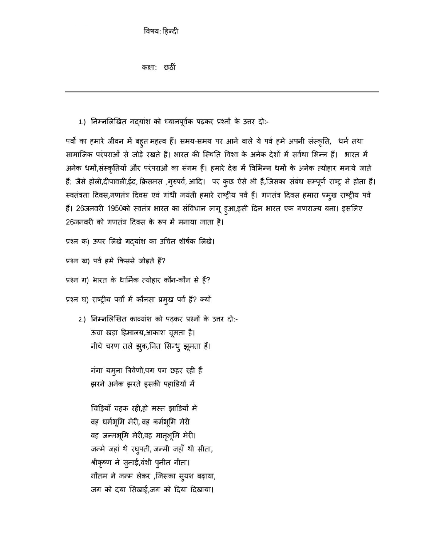विषय: हिन्दी

कक्षा: छठीं

1.) निम्नलिखित गदयांश को ध्यानपूर्वक पढ़कर प्रश्नों के उत्तर दो:-

पर्वों का हमारे जीवन में बहुत महत्व हैं। समय-समय पर आने वाले ये पर्व हमे अपनी संस्कृति, धर्म तथा सामाजिक परंपराओं से जोड़े रखते हैं। भारत की स्थिति विश्व के अनेक देशों में सर्वथा भिन्न हैं। भारत में अनेक धर्मों,संस्कृतियों और परंपराओं का संगम हैं। हमारे देश में विभिन्न धर्मों के अनेक त्योहार मनाये जाते हैं; जैसे होली,दीपावली,ईद, क्रिसमस ,गुरुपर्व, आदि। पर कुछ ऐसे भी हैं,जिसका संबंध सम्पूर्ण राष्ट्र से होता हैं। स्वतंत्रता दिवस,गणतंत्र दिवस एवं गांधी जयंती हमारे राष्ट्रीय पर्व हैं। गणतंत्र दिवस हमारा प्रमुख राष्ट्रीय पर्व हैं। 26जनवरी 1950को स्वतंत्र भारत का संविधान लागू हुआ,इसी दिन भारत एक गणराज्य बना। इसलिए 26जनवरी को गणतंत्र दिवस के रूप में मनाया जाता है।

प्रश्न क) ऊपर लिखे गदयांश का उचित शीर्षक लिखे।

प्रश्न ख) पर्व हमे किससे जोड़ते हैं?

प्रश्न ग) भारत के धार्मिक त्योहार कौन-कौन से हैं?

प्रश्न घ) राष्ट्रीय पर्वों में कौनसा प्रमुख पर्व हैं? क्यों

2.) निम्नलिखित काव्यांश को पढ़कर प्रश्नों के उत्तर दो:-ऊंचा खड़ा हिमालय,आकाश चूमता है। नीचे चरण तले झुक,नित सिन्धु झूमता हैं।

गंगा यमूना त्रिवेणी,पग पग छहर रही हैं झरने अनेक झरते इसकी पहाडियों में

चिड़ियाँ चहक रही,हो मस्त झाडियों में वह धर्मभूमि मेरी, वह कर्मभूमि मेरी वह जन्मभूमि मेरी,वह मातृभूमि मेरी। जन्मे जहां थे रघुपती, जन्मी जहाँ थी सीता, श्रीकृष्ण ने सुनाई,वंशी पुनीत गीता। गौतम ने जन्म लेकर ,जिसका स्यश बढ़ाया, जग को दया सिखाई,जग को दिया दिखाया।